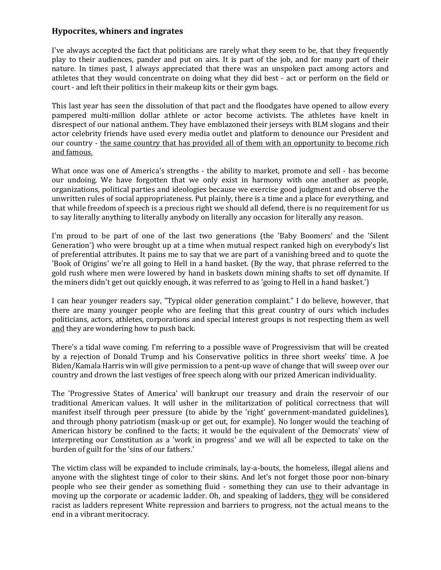## **Hypocrites, whiners and ingrates**

I've always accepted the fact that politicians are rarely what they seem to be, that they frequently play to their audiences, pander and put on airs. It is part of the job, and for many part of their nature. In times past, I always appreciated that there was an unspoken pact among actors and athletes that they would concentrate on doing what they did best - act or perform on the field or court - and left their politics in their makeup kits or their gym bags.

This last year has seen the dissolution of that pact and the floodgates have opened to allow every pampered multi-million dollar athlete or actor become activists. The athletes have knelt in disrespect of our national anthem. They have emblazoned their jerseys with BLM slogans and their actor celebrity friends have used every media outlet and platform to denounce our President and our country - the same country that has provided all of them with an opportunity to become rich and famous.

What once was one of America's strengths - the ability to market, promote and sell - has become our undoing. We have forgotten that we only exist in harmony with one another as people, organizations, political parties and ideologies because we exercise good judgment and observe the unwritten rules of social appropriateness. Put plainly, there is a time and a place for everything, and that while freedom of speech is a precious right we should all defend, there is no requirement for us to say literally anything to literally anybody on literally any occasion for literally any reason.

I'm proud to be part of one of the last two generations (the 'Baby Boomers' and the 'Silent Generation') who were brought up at a time when mutual respect ranked high on everybody's list of preferential attributes. It pains me to say that we are part of a vanishing breed and to quote the 'Book of Origins' we're all going to Hell in a hand basket. (By the way, that phrase referred to the gold rush where men were lowered by hand in baskets down mining shafts to set off dynamite. If the miners didn't get out quickly enough, it was referred to as 'going to Hell in a hand basket.')

I can hear younger readers say, "Typical older generation complaint." I do believe, however, that there are many younger people who are feeling that this great country of ours which includes politicians, actors, athletes, corporations and special interest groups is not respecting them as well and they are wondering how to push back.

There's a tidal wave coming. I'm referring to a possible wave of Progressivism that will be created by a rejection of Donald Trump and his Conservative politics in three short weeks' time. A Joe Biden/Kamala Harris win will give permission to a pent-up wave of change that will sweep over our country and drown the last vestiges of free speech along with our prized American individuality.

The 'Progressive States of America' will bankrupt our treasury and drain the reservoir of our traditional American values. It will usher in the militarization of political correctness that will manifest itself through peer pressure (to abide by the 'right' government-mandated guidelines), and through phony patriotism (mask-up or get out, for example). No longer would the teaching of American history be confined to the facts; it would be the equivalent of the Democrats' view of interpreting our Constitution as a 'work in progress' and we will all be expected to take on the burden of guilt for the 'sins of our fathers.'

The victim class will be expanded to include criminals, lay-a-bouts, the homeless, illegal aliens and anyone with the slightest tinge of color to their skins. And let's not forget those poor non-binary people who see their gender as something fluid - something they can use to their advantage in moving up the corporate or academic ladder. Oh, and speaking of ladders, they will be considered racist as ladders represent White repression and barriers to progress, not the actual means to the end in a vibrant meritocracy.